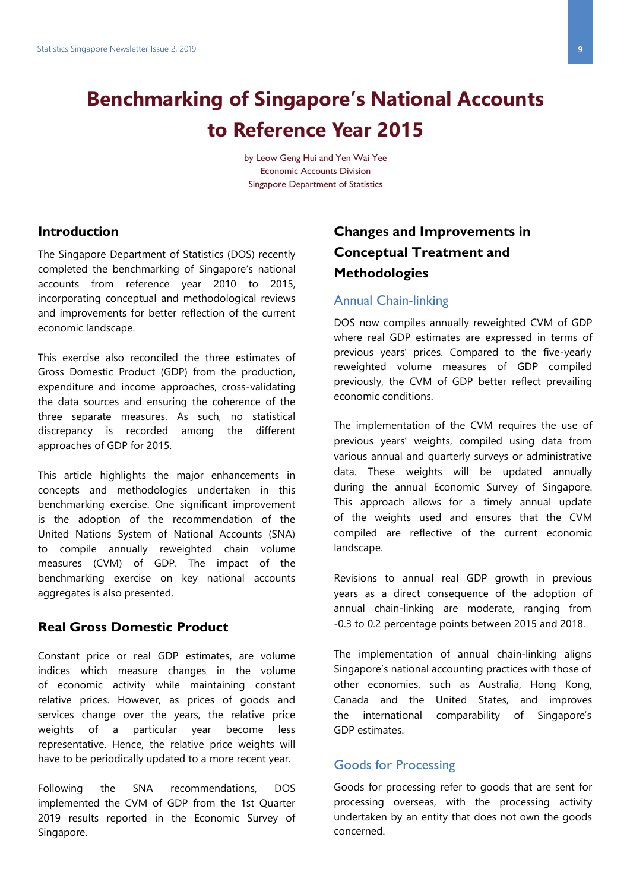# **Benchmarking of Singapore's National Accounts to Reference Year 2015**

by Leow Geng Hui and Yen Wai Yee Economic Accounts Division Singapore Department of Statistics

#### **Introduction**

The Singapore Department of Statistics (DOS) recently completed the benchmarking of Singapore's national accounts from reference year 2010 to 2015, incorporating conceptual and methodological reviews and improvements for better reflection of the current economic landscape.

This exercise also reconciled the three estimates of Gross Domestic Product (GDP) from the production, expenditure and income approaches, cross-validating the data sources and ensuring the coherence of the three separate measures. As such, no statistical discrepancy is recorded among the different approaches of GDP for 2015.

This article highlights the major enhancements in concepts and methodologies undertaken in this benchmarking exercise. One significant improvement is the adoption of the recommendation of the United Nations System of National Accounts (SNA) to compile annually reweighted chain volume measures (CVM) of GDP. The impact of the benchmarking exercise on key national accounts aggregates is also presented.

#### **Real Gross Domestic Product**

Constant price or real GDP estimates, are volume indices which measure changes in the volume of economic activity while maintaining constant relative prices. However, as prices of goods and services change over the years, the relative price weights of a particular year become less representative. Hence, the relative price weights will have to be periodically updated to a more recent year.

Following the SNA recommendations, DOS implemented the CVM of GDP from the 1st Quarter 2019 results reported in the Economic Survey of Singapore.

## **Changes and Improvements in Conceptual Treatment and Methodologies**

#### Annual Chain-linking

DOS now compiles annually reweighted CVM of GDP where real GDP estimates are expressed in terms of previous years' prices. Compared to the five-yearly reweighted volume measures of GDP compiled previously, the CVM of GDP better reflect prevailing economic conditions.

The implementation of the CVM requires the use of previous years' weights, compiled using data from various annual and quarterly surveys or administrative data. These weights will be updated annually during the annual Economic Survey of Singapore. This approach allows for a timely annual update of the weights used and ensures that the CVM compiled are reflective of the current economic landscape.

Revisions to annual real GDP growth in previous years as a direct consequence of the adoption of annual chain-linking are moderate, ranging from -0.3 to 0.2 percentage points between 2015 and 2018.

The implementation of annual chain-linking aligns Singapore's national accounting practices with those of other economies, such as Australia, Hong Kong, Canada and the United States, and improves the international comparability of Singapore's GDP estimates.

#### Goods for Processing

Goods for processing refer to goods that are sent for processing overseas, with the processing activity undertaken by an entity that does not own the goods concerned.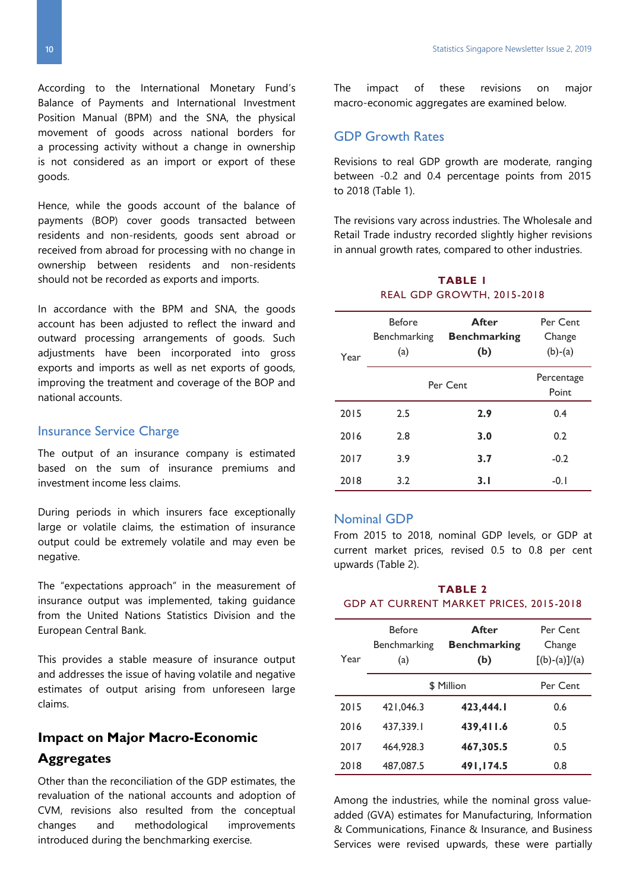According to the International Monetary Fund's Balance of Payments and International Investment Position Manual (BPM) and the SNA, the physical movement of goods across national borders for a processing activity without a change in ownership is not considered as an import or export of these goods.

Hence, while the goods account of the balance of payments (BOP) cover goods transacted between residents and non-residents, goods sent abroad or received from abroad for processing with no change in ownership between residents and non-residents should not be recorded as exports and imports.

In accordance with the BPM and SNA, the goods account has been adjusted to reflect the inward and outward processing arrangements of goods. Such adjustments have been incorporated into gross exports and imports as well as net exports of goods, improving the treatment and coverage of the BOP and national accounts.

#### Insurance Service Charge

The output of an insurance company is estimated based on the sum of insurance premiums and investment income less claims.

During periods in which insurers face exceptionally large or volatile claims, the estimation of insurance output could be extremely volatile and may even be negative.

The "expectations approach" in the measurement of insurance output was implemented, taking guidance from the United Nations Statistics Division and the European Central Bank.

This provides a stable measure of insurance output and addresses the issue of having volatile and negative estimates of output arising from unforeseen large claims.

## **Impact on Major Macro-Economic**

#### **Aggregates**

Other than the reconciliation of the GDP estimates, the revaluation of the national accounts and adoption of CVM, revisions also resulted from the conceptual changes and methodological improvements introduced during the benchmarking exercise.

#### GDP Growth Rates

Revisions to real GDP growth are moderate, ranging between -0.2 and 0.4 percentage points from 2015 to 2018 (Table 1).

The revisions vary across industries. The Wholesale and Retail Trade industry recorded slightly higher revisions in annual growth rates, compared to other industries.

#### **TABLE 1** REAL GDP GROWTH, 2015-2018

| Year | <b>Before</b><br>Benchmarking<br>(a) | <b>After</b><br><b>Benchmarking</b><br>(b) | Per Cent<br>Change<br>$(b)-(a)$ |
|------|--------------------------------------|--------------------------------------------|---------------------------------|
|      | Per Cent                             | Percentage<br>Point                        |                                 |
| 2015 | 2.5                                  | 2.9                                        | 0.4                             |
| 2016 | 2.8                                  | 3.0                                        | 0.2                             |
| 2017 | 3.9                                  | 3.7                                        | $-0.2$                          |
| 2018 | 3.2                                  | 3.1                                        | $-0.1$                          |

#### Nominal GDP

From 2015 to 2018, nominal GDP levels, or GDP at current market prices, revised 0.5 to 0.8 per cent upwards (Table 2).

#### **TABLE 2** GDP AT CURRENT MARKET PRICES, 2015-2018

| Year | <b>Before</b><br>Benchmarking<br>(a) | After<br><b>Benchmarking</b><br>(b) | Per Cent<br>Change<br>$[(b)-(a)]/(a)$ |
|------|--------------------------------------|-------------------------------------|---------------------------------------|
|      |                                      | \$ Million                          | Per Cent                              |
| 2015 | 421,046.3                            | 423,444.1                           | 0.6                                   |
| 2016 | 437,339.1                            | 439,411.6                           | 0.5                                   |
| 2017 | 464.928.3                            | 467,305.5                           | 0.5                                   |
| 2018 | 487,087.5                            | 491,174.5                           | 0.8                                   |

Among the industries, while the nominal gross valueadded (GVA) estimates for Manufacturing, Information & Communications, Finance & Insurance, and Business Services were revised upwards, these were partially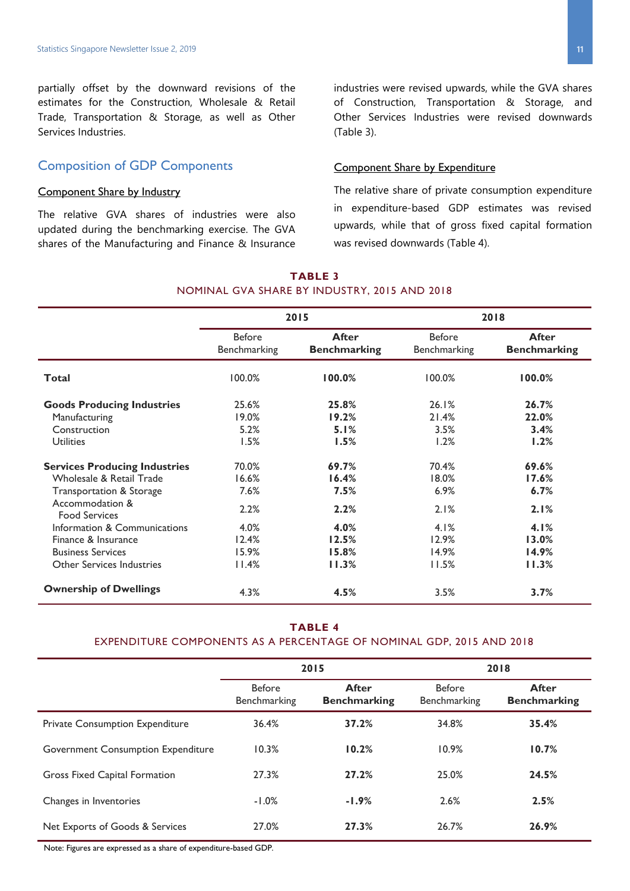partially offset by the downward revisions of the estimates for the Construction, Wholesale & Retail Trade, Transportation & Storage, as well as Other Services Industries.

#### Composition of GDP Components

#### Component Share by Industry

The relative GVA shares of industries were also updated during the benchmarking exercise. The GVA shares of the Manufacturing and Finance & Insurance

industries were revised upwards, while the GVA shares of Construction, Transportation & Storage, and Other Services Industries were revised downwards (Table 3).

#### Component Share by Expenditure

The relative share of private consumption expenditure in expenditure-based GDP estimates was revised upwards, while that of gross fixed capital formation was revised downwards (Table 4).

#### **TABLE 3** NOMINAL GVA SHARE BY INDUSTRY, 2015 AND 2018

|                                         | 2015                          |                                     | 2018                          |                                     |
|-----------------------------------------|-------------------------------|-------------------------------------|-------------------------------|-------------------------------------|
|                                         | <b>Before</b><br>Benchmarking | <b>After</b><br><b>Benchmarking</b> | <b>Before</b><br>Benchmarking | <b>After</b><br><b>Benchmarking</b> |
| Total                                   | 100.0%                        | 100.0%                              | 100.0%                        | 100.0%                              |
| <b>Goods Producing Industries</b>       | 25.6%                         | 25.8%                               | 26.1%                         | 26.7%                               |
| Manufacturing                           | 19.0%                         | 19.2%                               | 21.4%                         | 22.0%                               |
| Construction                            | 5.2%                          | 5.1%                                | 3.5%                          | 3.4%                                |
| <b>Utilities</b>                        | 1.5%                          | 1.5%                                | 1.2%                          | 1.2%                                |
| <b>Services Producing Industries</b>    | 70.0%                         | 69.7%                               | 70.4%                         | 69.6%                               |
| Wholesale & Retail Trade                | 16.6%                         | 16.4%                               | 18.0%                         | 17.6%                               |
| Transportation & Storage                | 7.6%                          | 7.5%                                | 6.9%                          | 6.7%                                |
| Accommodation &<br><b>Food Services</b> | 2.2%                          | 2.2%                                | 2.1%                          | 2.1%                                |
| Information & Communications            | 4.0%                          | 4.0%                                | 4.1%                          | 4.1%                                |
| Finance & Insurance                     | 12.4%                         | 12.5%                               | 12.9%                         | 13.0%                               |
| <b>Business Services</b>                | 15.9%                         | 15.8%                               | 14.9%                         | 14.9%                               |
| Other Services Industries               | 11.4%                         | 11.3%                               | 11.5%                         | 11.3%                               |
| <b>Ownership of Dwellings</b>           | 4.3%                          | 4.5%                                | 3.5%                          | 3.7%                                |

#### **TABLE 4**

#### EXPENDITURE COMPONENTS AS A PERCENTAGE OF NOMINAL GDP, 2015 AND 2018

|                                    | 2015                                 |                                     | 2018                          |                                     |
|------------------------------------|--------------------------------------|-------------------------------------|-------------------------------|-------------------------------------|
|                                    | <b>Before</b><br><b>Benchmarking</b> | <b>After</b><br><b>Benchmarking</b> | <b>Before</b><br>Benchmarking | <b>After</b><br><b>Benchmarking</b> |
| Private Consumption Expenditure    | 36.4%                                | 37.2%                               | 34.8%                         | 35.4%                               |
| Government Consumption Expenditure | 10.3%                                | 10.2%                               | 10.9%                         | 10.7%                               |
| Gross Fixed Capital Formation      | 27.3%                                | 27.2%                               | 25.0%                         | 24.5%                               |
| Changes in Inventories             | $-1.0%$                              | $-1.9%$                             | 2.6%                          | 2.5%                                |
| Net Exports of Goods & Services    | 27.0%                                | 27.3%                               | 26.7%                         | 26.9%                               |

Note: Figures are expressed as a share of expenditure-based GDP.